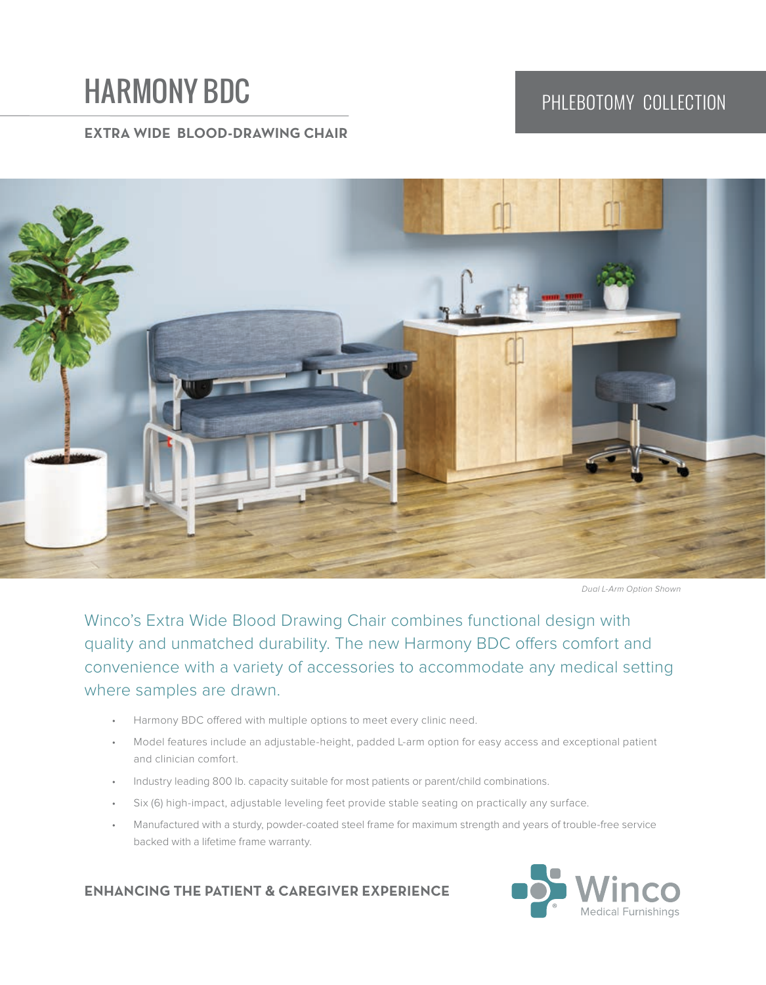# HARMONY BDC PHLEBOTOMY COLLECTION

## **EXTRA WIDE BLOOD-DRAWING CHAIR**



Dual L-Arm Option Shown

Winco's Extra Wide Blood Drawing Chair combines functional design with quality and unmatched durability. The new Harmony BDC offers comfort and convenience with a variety of accessories to accommodate any medical setting where samples are drawn.

- Harmony BDC offered with multiple options to meet every clinic need.
- Model features include an adjustable-height, padded L-arm option for easy access and exceptional patient and clinician comfort.
- Industry leading 800 lb. capacity suitable for most patients or parent/child combinations.
- Six (6) high-impact, adjustable leveling feet provide stable seating on practically any surface.
- Manufactured with a sturdy, powder-coated steel frame for maximum strength and years of trouble-free service backed with a lifetime frame warranty.

### **ENHANCING THE PATIENT & CAREGIVER EXPERIENCE**

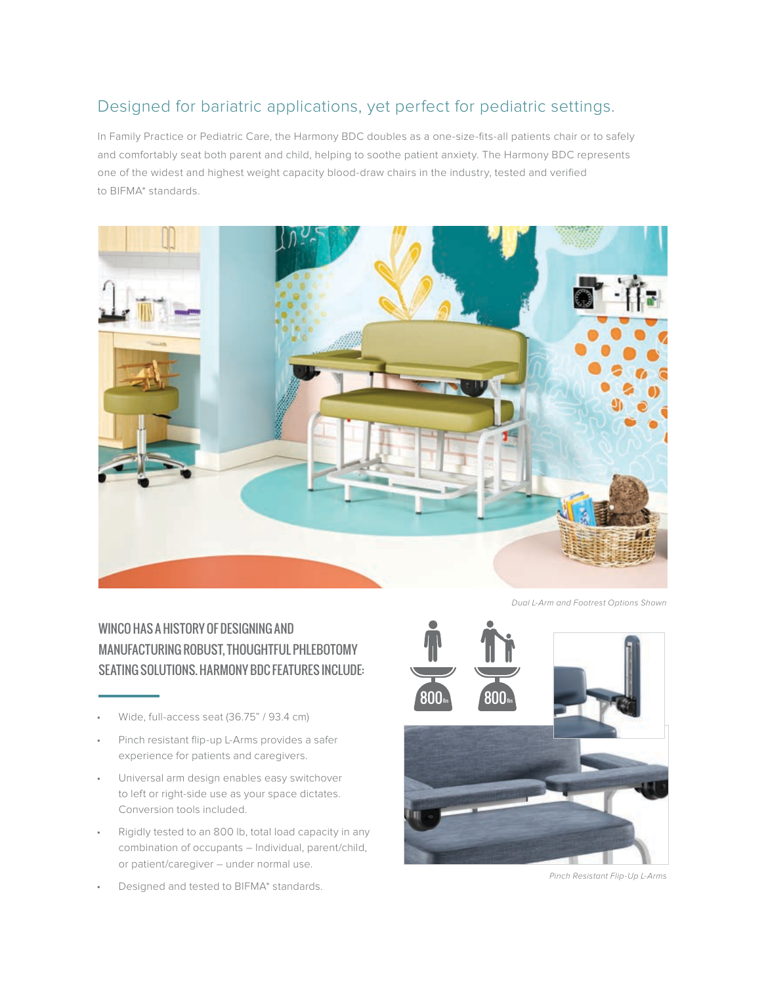# Designed for bariatric applications, yet perfect for pediatric settings.

In Family Practice or Pediatric Care, the Harmony BDC doubles as a one-size-fits-all patients chair or to safely and comfortably seat both parent and child, helping to soothe patient anxiety. The Harmony BDC represents one of the widest and highest weight capacity blood-draw chairs in the industry, tested and verified to BIFMA\* standards.



WINCO HAS A HISTORY OF DESIGNING AND MANUFACTURING ROBUST, THOUGHTFUL PHLEBOTOMY SEATING SOLUTIONS. HARMONY BDC FEATURES INCLUDE:

- Wide, full-access seat (36.75" / 93.4 cm)
- Pinch resistant flip-up L-Arms provides a safer experience for patients and caregivers.
- Universal arm design enables easy switchover to left or right-side use as your space dictates. Conversion tools included.
- Rigidly tested to an 800 lb, total load capacity in any combination of occupants – Individual, parent/child, or patient/caregiver – under normal use.
- Designed and tested to BIFMA\* standards.

Dual L-Arm and Footrest Options Shown



Pinch Resistant Flip-Up L-Arms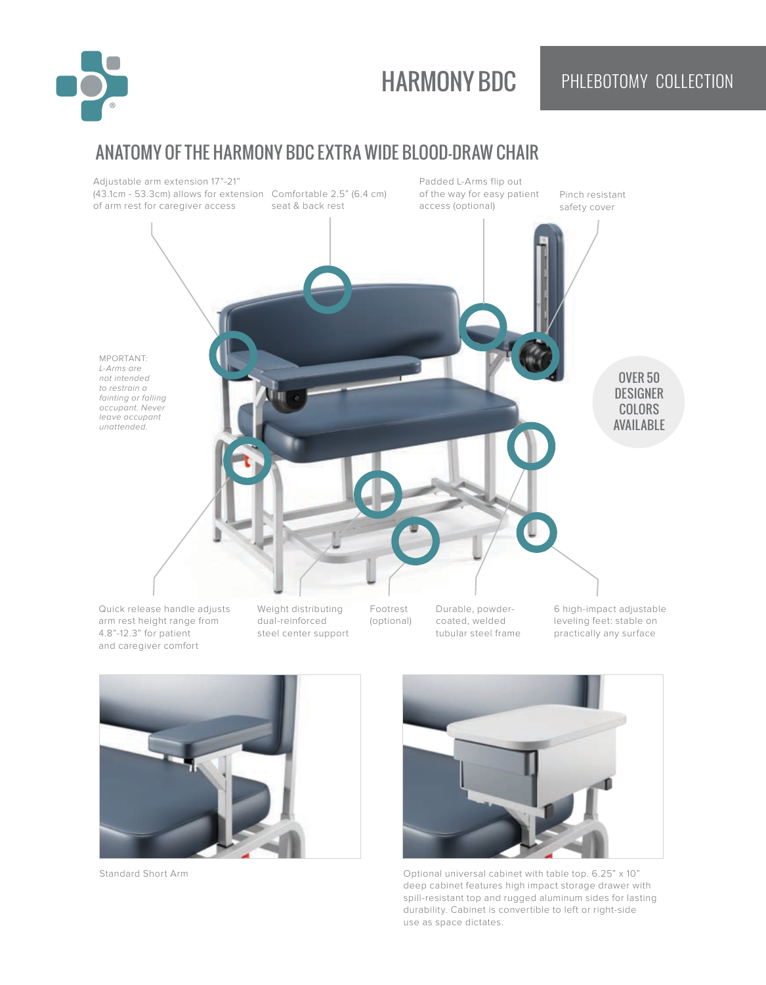

# HARMONY BDC PHLEBOTOMY COLLECTION

# ANATOMY OF THE HARMONY BDC EXTRA WIDE BLOOD-DRAW CHAIR







Standard Short Arm Optional universal cabinet with table top. 6.25" x 10" deep cabinet features high impact storage drawer with spill-resistant top and rugged aluminum sides for lasting durability. Cabinet is convertible to left or right-side use as space dictates.